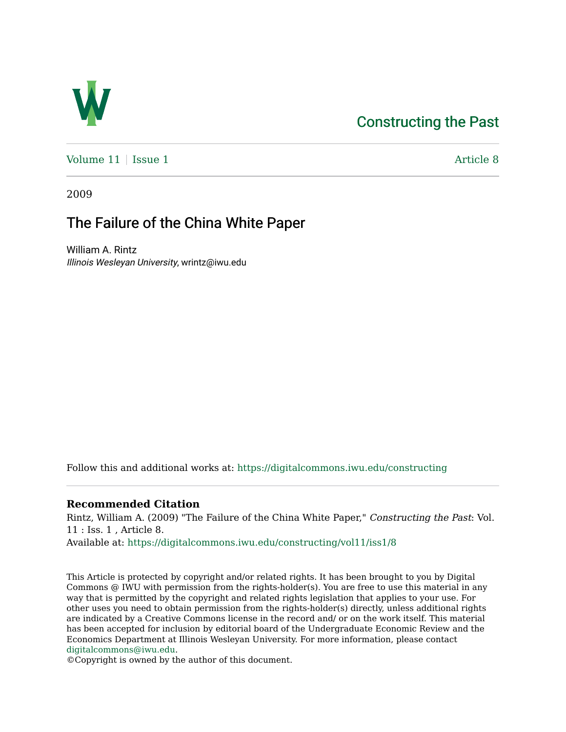# [Constructing the Past](https://digitalcommons.iwu.edu/constructing)



[Volume 11](https://digitalcommons.iwu.edu/constructing/vol11) | [Issue 1](https://digitalcommons.iwu.edu/constructing/vol11/iss1) Article 8

2009

# The Failure of the China White Paper

William A. Rintz Illinois Wesleyan University, wrintz@iwu.edu

Follow this and additional works at: [https://digitalcommons.iwu.edu/constructing](https://digitalcommons.iwu.edu/constructing?utm_source=digitalcommons.iwu.edu%2Fconstructing%2Fvol11%2Fiss1%2F8&utm_medium=PDF&utm_campaign=PDFCoverPages)

### **Recommended Citation**

Rintz, William A. (2009) "The Failure of the China White Paper," Constructing the Past: Vol. 11 : Iss. 1 , Article 8.

Available at: [https://digitalcommons.iwu.edu/constructing/vol11/iss1/8](https://digitalcommons.iwu.edu/constructing/vol11/iss1/8?utm_source=digitalcommons.iwu.edu%2Fconstructing%2Fvol11%2Fiss1%2F8&utm_medium=PDF&utm_campaign=PDFCoverPages)

This Article is protected by copyright and/or related rights. It has been brought to you by Digital Commons @ IWU with permission from the rights-holder(s). You are free to use this material in any way that is permitted by the copyright and related rights legislation that applies to your use. For other uses you need to obtain permission from the rights-holder(s) directly, unless additional rights are indicated by a Creative Commons license in the record and/ or on the work itself. This material has been accepted for inclusion by editorial board of the Undergraduate Economic Review and the Economics Department at Illinois Wesleyan University. For more information, please contact [digitalcommons@iwu.edu.](mailto:digitalcommons@iwu.edu)

©Copyright is owned by the author of this document.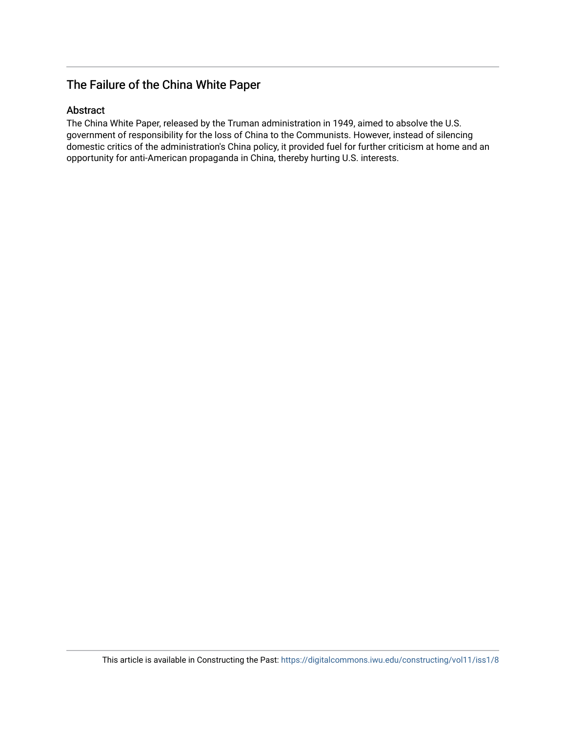## The Failure of the China White Paper

## Abstract

The China White Paper, released by the Truman administration in 1949, aimed to absolve the U.S. government of responsibility for the loss of China to the Communists. However, instead of silencing domestic critics of the administration's China policy, it provided fuel for further criticism at home and an opportunity for anti-American propaganda in China, thereby hurting U.S. interests.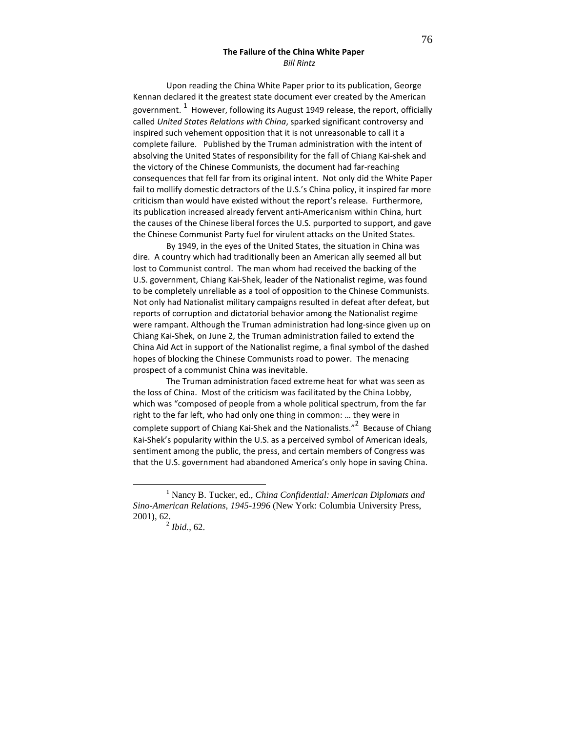#### The Failure of the China White Paper Bill Rintz

Upon reading the China White Paper prior to its publication, George Kennan declared it the greatest state document ever created by the American government.  $^1\,$  However, following its August 1949 release, the report, officially called United States Relations with China, sparked significant controversy and inspired such vehement opposition that it is not unreasonable to call it a complete failure. Published by the Truman administration with the intent of absolving the United States of responsibility for the fall of Chiang Kai-shek and the victory of the Chinese Communists, the document had far-reaching consequences that fell far from its original intent. Not only did the White Paper fail to mollify domestic detractors of the U.S.'s China policy, it inspired far more criticism than would have existed without the report's release. Furthermore, its publication increased already fervent anti-Americanism within China, hurt the causes of the Chinese liberal forces the U.S. purported to support, and gave the Chinese Communist Party fuel for virulent attacks on the United States.

By 1949, in the eyes of the United States, the situation in China was dire. A country which had traditionally been an American ally seemed all but lost to Communist control. The man whom had received the backing of the U.S. government, Chiang Kai-Shek, leader of the Nationalist regime, was found to be completely unreliable as a tool of opposition to the Chinese Communists. Not only had Nationalist military campaigns resulted in defeat after defeat, but reports of corruption and dictatorial behavior among the Nationalist regime were rampant. Although the Truman administration had long-since given up on Chiang Kai-Shek, on June 2, the Truman administration failed to extend the China Aid Act in support of the Nationalist regime, a final symbol of the dashed hopes of blocking the Chinese Communists road to power. The menacing prospect of a communist China was inevitable.

The Truman administration faced extreme heat for what was seen as the loss of China. Most of the criticism was facilitated by the China Lobby, which was "composed of people from a whole political spectrum, from the far right to the far left, who had only one thing in common: … they were in complete support of Chiang Kai-Shek and the Nationalists."<sup>2</sup> Because of Chiang Kai-Shek's popularity within the U.S. as a perceived symbol of American ideals, sentiment among the public, the press, and certain members of Congress was that the U.S. government had abandoned America's only hope in saving China.

<sup>1</sup> Nancy B. Tucker, ed., *China Confidential: American Diplomats and Sino-American Relations, 1945-1996* (New York: Columbia University Press, 2001), 62.

<sup>2</sup> *Ibid.*, 62.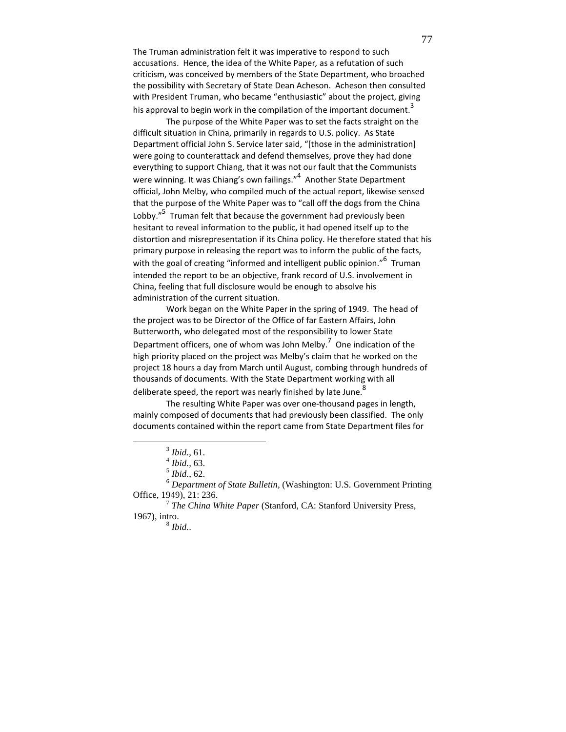The Truman administration felt it was imperative to respond to such accusations. Hence, the idea of the White Paper, as a refutation of such criticism, was conceived by members of the State Department, who broached the possibility with Secretary of State Dean Acheson. Acheson then consulted with President Truman, who became "enthusiastic" about the project, giving his approval to begin work in the compilation of the important document.<sup>3</sup>

The purpose of the White Paper was to set the facts straight on the difficult situation in China, primarily in regards to U.S. policy. As State Department official John S. Service later said, "[those in the administration] were going to counterattack and defend themselves, prove they had done everything to support Chiang, that it was not our fault that the Communists were winning. It was Chiang's own failings."<sup>4</sup> Another State Department official, John Melby, who compiled much of the actual report, likewise sensed that the purpose of the White Paper was to "call off the dogs from the China Lobby."<sup>5</sup> Truman felt that because the government had previously been hesitant to reveal information to the public, it had opened itself up to the distortion and misrepresentation if its China policy. He therefore stated that his primary purpose in releasing the report was to inform the public of the facts, with the goal of creating "informed and intelligent public opinion."<sup>6</sup> Truman intended the report to be an objective, frank record of U.S. involvement in China, feeling that full disclosure would be enough to absolve his administration of the current situation.

Work began on the White Paper in the spring of 1949. The head of the project was to be Director of the Office of far Eastern Affairs, John Butterworth, who delegated most of the responsibility to lower State Department officers, one of whom was John Melby.<sup>7</sup> One indication of the high priority placed on the project was Melby's claim that he worked on the project 18 hours a day from March until August, combing through hundreds of thousands of documents. With the State Department working with all deliberate speed, the report was nearly finished by late June.<sup>8</sup>

The resulting White Paper was over one-thousand pages in length, mainly composed of documents that had previously been classified. The only documents contained within the report came from State Department files for

<sup>3</sup> *Ibid.*, 61.

<sup>4</sup> *Ibid.,* 63.

<sup>5</sup> *Ibid.*, 62.

<sup>6</sup> *Department of State Bulletin,* (Washington: U.S. Government Printing Office, 1949), 21: 236.

<sup>7</sup> *The China White Paper* (Stanford, CA: Stanford University Press, 1967), intro.

<sup>8</sup> *Ibid.*.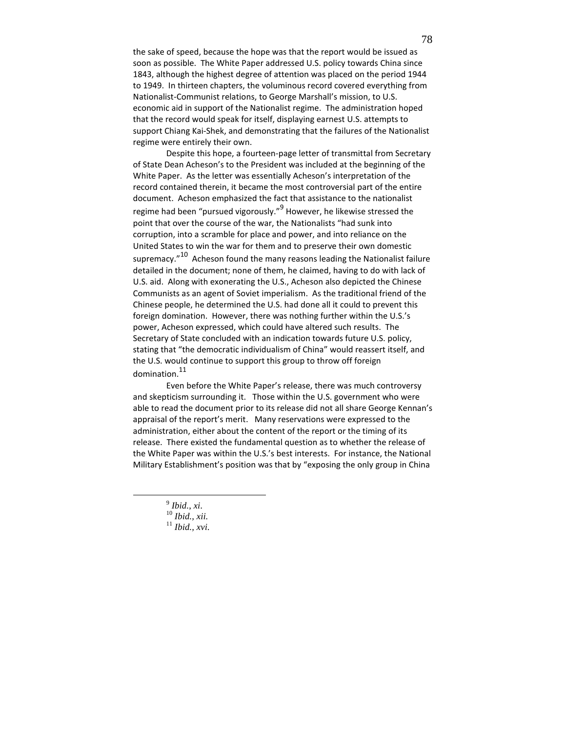the sake of speed, because the hope was that the report would be issued as soon as possible. The White Paper addressed U.S. policy towards China since 1843, although the highest degree of attention was placed on the period 1944 to 1949. In thirteen chapters, the voluminous record covered everything from Nationalist-Communist relations, to George Marshall's mission, to U.S. economic aid in support of the Nationalist regime. The administration hoped that the record would speak for itself, displaying earnest U.S. attempts to support Chiang Kai-Shek, and demonstrating that the failures of the Nationalist regime were entirely their own.

Despite this hope, a fourteen-page letter of transmittal from Secretary of State Dean Acheson's to the President was included at the beginning of the White Paper. As the letter was essentially Acheson's interpretation of the record contained therein, it became the most controversial part of the entire document. Acheson emphasized the fact that assistance to the nationalist regime had been "pursued vigorously."<sup>9</sup> However, he likewise stressed the point that over the course of the war, the Nationalists "had sunk into corruption, into a scramble for place and power, and into reliance on the United States to win the war for them and to preserve their own domestic supremacy."<sup>10</sup> Acheson found the many reasons leading the Nationalist failure detailed in the document; none of them, he claimed, having to do with lack of U.S. aid. Along with exonerating the U.S., Acheson also depicted the Chinese Communists as an agent of Soviet imperialism. As the traditional friend of the Chinese people, he determined the U.S. had done all it could to prevent this foreign domination. However, there was nothing further within the U.S.'s power, Acheson expressed, which could have altered such results. The Secretary of State concluded with an indication towards future U.S. policy, stating that "the democratic individualism of China" would reassert itself, and the U.S. would continue to support this group to throw off foreign domination.<sup>11</sup>

Even before the White Paper's release, there was much controversy and skepticism surrounding it. Those within the U.S. government who were able to read the document prior to its release did not all share George Kennan's appraisal of the report's merit. Many reservations were expressed to the administration, either about the content of the report or the timing of its release. There existed the fundamental question as to whether the release of the White Paper was within the U.S.'s best interests. For instance, the National Military Establishment's position was that by "exposing the only group in China

9 *Ibid.*, *xi*.

<sup>10</sup> *Ibid., xii.*

<sup>11</sup> *Ibid., xvi*.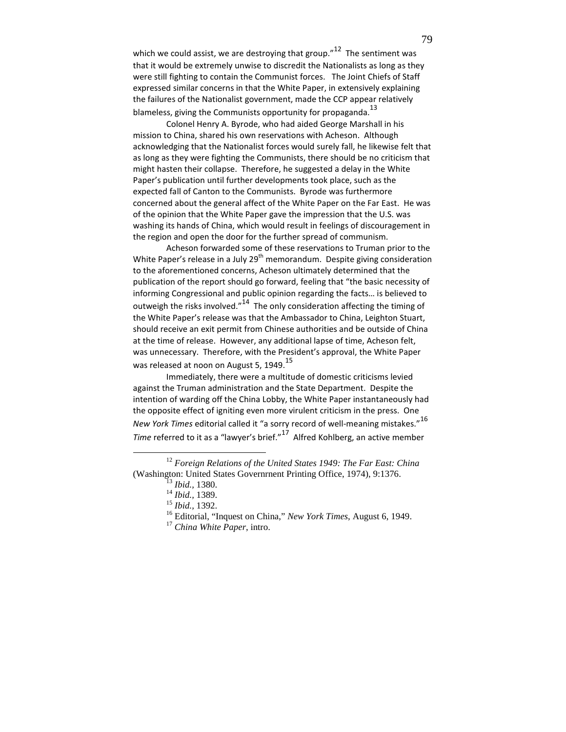which we could assist, we are destroying that group." $12$  The sentiment was that it would be extremely unwise to discredit the Nationalists as long as they were still fighting to contain the Communist forces. The Joint Chiefs of Staff expressed similar concerns in that the White Paper, in extensively explaining the failures of the Nationalist government, made the CCP appear relatively blameless, giving the Communists opportunity for propaganda.<sup>13</sup>

Colonel Henry A. Byrode, who had aided George Marshall in his mission to China, shared his own reservations with Acheson. Although acknowledging that the Nationalist forces would surely fall, he likewise felt that as long as they were fighting the Communists, there should be no criticism that might hasten their collapse. Therefore, he suggested a delay in the White Paper's publication until further developments took place, such as the expected fall of Canton to the Communists. Byrode was furthermore concerned about the general affect of the White Paper on the Far East. He was of the opinion that the White Paper gave the impression that the U.S. was washing its hands of China, which would result in feelings of discouragement in the region and open the door for the further spread of communism.

Acheson forwarded some of these reservations to Truman prior to the White Paper's release in a July  $29<sup>th</sup>$  memorandum. Despite giving consideration to the aforementioned concerns, Acheson ultimately determined that the publication of the report should go forward, feeling that "the basic necessity of informing Congressional and public opinion regarding the facts… is believed to outweigh the risks involved."14 The only consideration affecting the timing of the White Paper's release was that the Ambassador to China, Leighton Stuart, should receive an exit permit from Chinese authorities and be outside of China at the time of release. However, any additional lapse of time, Acheson felt, was unnecessary. Therefore, with the President's approval, the White Paper was released at noon on August 5, 1949. $15$ 

Immediately, there were a multitude of domestic criticisms levied against the Truman administration and the State Department. Despite the intention of warding off the China Lobby, the White Paper instantaneously had the opposite effect of igniting even more virulent criticism in the press. One New York Times editorial called it "a sorry record of well-meaning mistakes."  $^{16}$ Time referred to it as a "lawyer's brief."<sup>17</sup> Alfred Kohlberg, an active member

<sup>12</sup> *Foreign Relations of the United States 1949: The Far East: China* (Washington: United States Governrnent Printing Office, 1974), 9:1376.

<sup>13</sup> *Ibid.,* 1380.

<sup>14</sup> *Ibid.,* 1389.

<sup>15</sup> *Ibid.,* 1392.

<sup>16</sup> Editorial, "Inquest on China," *New York Times*, August 6, 1949.

<sup>17</sup> *China White Paper*, intro.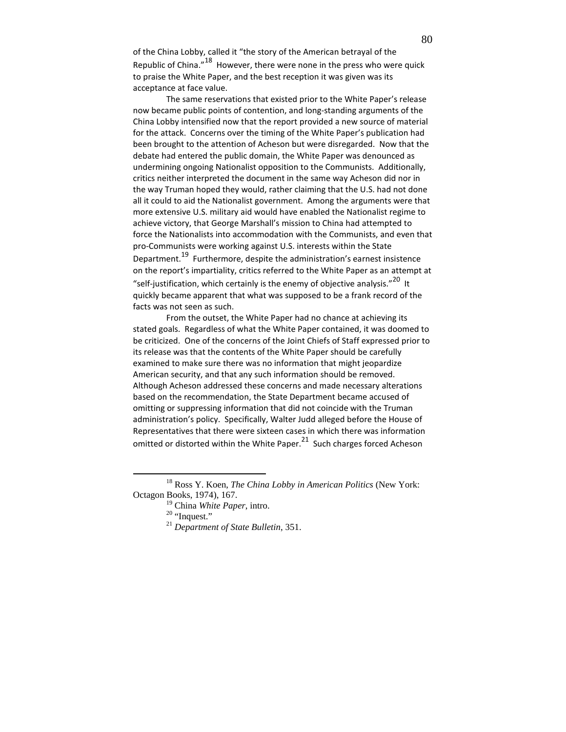of the China Lobby, called it "the story of the American betrayal of the Republic of China."<sup>18</sup> However, there were none in the press who were quick to praise the White Paper, and the best reception it was given was its acceptance at face value.

The same reservations that existed prior to the White Paper's release now became public points of contention, and long-standing arguments of the China Lobby intensified now that the report provided a new source of material for the attack. Concerns over the timing of the White Paper's publication had been brought to the attention of Acheson but were disregarded. Now that the debate had entered the public domain, the White Paper was denounced as undermining ongoing Nationalist opposition to the Communists. Additionally, critics neither interpreted the document in the same way Acheson did nor in the way Truman hoped they would, rather claiming that the U.S. had not done all it could to aid the Nationalist government. Among the arguments were that more extensive U.S. military aid would have enabled the Nationalist regime to achieve victory, that George Marshall's mission to China had attempted to force the Nationalists into accommodation with the Communists, and even that pro-Communists were working against U.S. interests within the State Department.19 Furthermore, despite the administration's earnest insistence on the report's impartiality, critics referred to the White Paper as an attempt at "self-justification, which certainly is the enemy of objective analysis."<sup>20</sup> It quickly became apparent that what was supposed to be a frank record of the facts was not seen as such.

From the outset, the White Paper had no chance at achieving its stated goals. Regardless of what the White Paper contained, it was doomed to be criticized. One of the concerns of the Joint Chiefs of Staff expressed prior to its release was that the contents of the White Paper should be carefully examined to make sure there was no information that might jeopardize American security, and that any such information should be removed. Although Acheson addressed these concerns and made necessary alterations based on the recommendation, the State Department became accused of omitting or suppressing information that did not coincide with the Truman administration's policy. Specifically, Walter Judd alleged before the House of Representatives that there were sixteen cases in which there was information omitted or distorted within the White Paper. $21$  Such charges forced Acheson

<sup>18</sup> Ross Y. Koen, *The China Lobby in American Politics* (New York: Octagon Books, 1974), 167.

<sup>19</sup> China *White Paper*, intro.

 $20$  "Inquest."

<sup>21</sup> *Department of State Bulletin*, 351.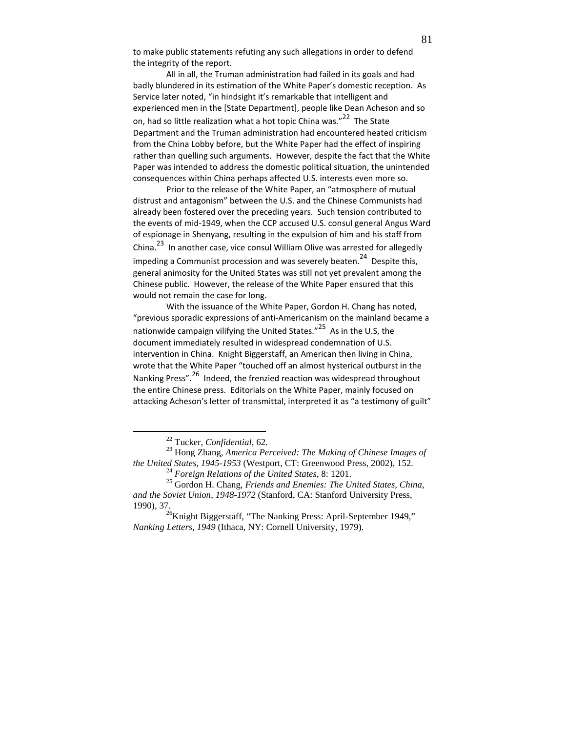to make public statements refuting any such allegations in order to defend the integrity of the report.

All in all, the Truman administration had failed in its goals and had badly blundered in its estimation of the White Paper's domestic reception. As Service later noted, "in hindsight it's remarkable that intelligent and experienced men in the [State Department], people like Dean Acheson and so on, had so little realization what a hot topic China was."<sup>22</sup> The State Department and the Truman administration had encountered heated criticism from the China Lobby before, but the White Paper had the effect of inspiring rather than quelling such arguments. However, despite the fact that the White Paper was intended to address the domestic political situation, the unintended consequences within China perhaps affected U.S. interests even more so.

Prior to the release of the White Paper, an "atmosphere of mutual distrust and antagonism" between the U.S. and the Chinese Communists had already been fostered over the preceding years. Such tension contributed to the events of mid-1949, when the CCP accused U.S. consul general Angus Ward of espionage in Shenyang, resulting in the expulsion of him and his staff from China.23 In another case, vice consul William Olive was arrested for allegedly impeding a Communist procession and was severely beaten.<sup>24</sup> Despite this, general animosity for the United States was still not yet prevalent among the Chinese public. However, the release of the White Paper ensured that this would not remain the case for long.

With the issuance of the White Paper, Gordon H. Chang has noted, "previous sporadic expressions of anti-Americanism on the mainland became a nationwide campaign vilifying the United States."<sup>25</sup> As in the U.S, the document immediately resulted in widespread condemnation of U.S. intervention in China. Knight Biggerstaff, an American then living in China, wrote that the White Paper "touched off an almost hysterical outburst in the Nanking Press".26 Indeed, the frenzied reaction was widespread throughout the entire Chinese press. Editorials on the White Paper, mainly focused on attacking Acheson's letter of transmittal, interpreted it as "a testimony of guilt"

<u>.</u>

<sup>22</sup> Tucker, *Confidential,* 62.

<sup>23</sup> Hong Zhang, *America Perceived: The Making of Chinese Images of the United States, 1945-1953* (Westport, CT: Greenwood Press, 2002), 152.

<sup>24</sup> *Foreign Relations of the United States,* 8: 1201.

<sup>25</sup> Gordon H. Chang, *Friends and Enemies: The United States, China, and the Soviet Union, 1948-1972* (Stanford, CA: Stanford University Press, 1990), 37.

 $^{26}$ Knight Biggerstaff, "The Nanking Press: April-September 1949," *Nanking Letters, 1949* (Ithaca, NY: Cornell University, 1979).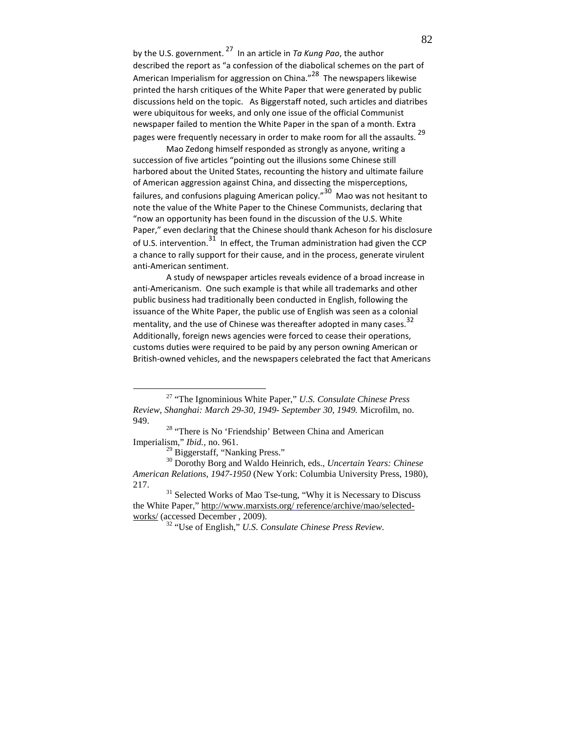by the U.S. government.  $^{27}$  In an article in Ta Kung Pao, the author described the report as "a confession of the diabolical schemes on the part of American Imperialism for aggression on China."<sup>28</sup> The newspapers likewise printed the harsh critiques of the White Paper that were generated by public discussions held on the topic. As Biggerstaff noted, such articles and diatribes were ubiquitous for weeks, and only one issue of the official Communist newspaper failed to mention the White Paper in the span of a month. Extra pages were frequently necessary in order to make room for all the assaults.  $^{29}$ 

Mao Zedong himself responded as strongly as anyone, writing a succession of five articles "pointing out the illusions some Chinese still harbored about the United States, recounting the history and ultimate failure of American aggression against China, and dissecting the misperceptions, failures, and confusions plaguing American policy."30 Mao was not hesitant to note the value of the White Paper to the Chinese Communists, declaring that "now an opportunity has been found in the discussion of the U.S. White Paper," even declaring that the Chinese should thank Acheson for his disclosure of U.S. intervention.<sup>31</sup> In effect, the Truman administration had given the CCP a chance to rally support for their cause, and in the process, generate virulent anti-American sentiment.

A study of newspaper articles reveals evidence of a broad increase in anti-Americanism. One such example is that while all trademarks and other public business had traditionally been conducted in English, following the issuance of the White Paper, the public use of English was seen as a colonial mentality, and the use of Chinese was thereafter adopted in many cases.  $32$ Additionally, foreign news agencies were forced to cease their operations, customs duties were required to be paid by any person owning American or British-owned vehicles, and the newspapers celebrated the fact that Americans

<sup>27</sup> "The Ignominious White Paper," *U.S. Consulate Chinese Press Review, Shanghai: March 29-30, 1949- September 30, 1949.* Microfilm, no. 949.

<sup>&</sup>lt;sup>28</sup> "There is No 'Friendship' Between China and American Imperialism," *Ibid.,* no. 961.

 $^{29}$  Biggerstaff, "Nanking Press."

<sup>30</sup> Dorothy Borg and Waldo Heinrich, eds., *Uncertain Years: Chinese American Relations, 1947-1950* (New York: Columbia University Press, 1980), 217.

 $31$  Selected Works of Mao Tse-tung, "Why it is Necessary to Discuss the White Paper," http://www.marxists.org/ reference/archive/mao/selectedworks/ (accessed December , 2009).

<sup>32</sup> "Use of English," *U.S. Consulate Chinese Press Review*.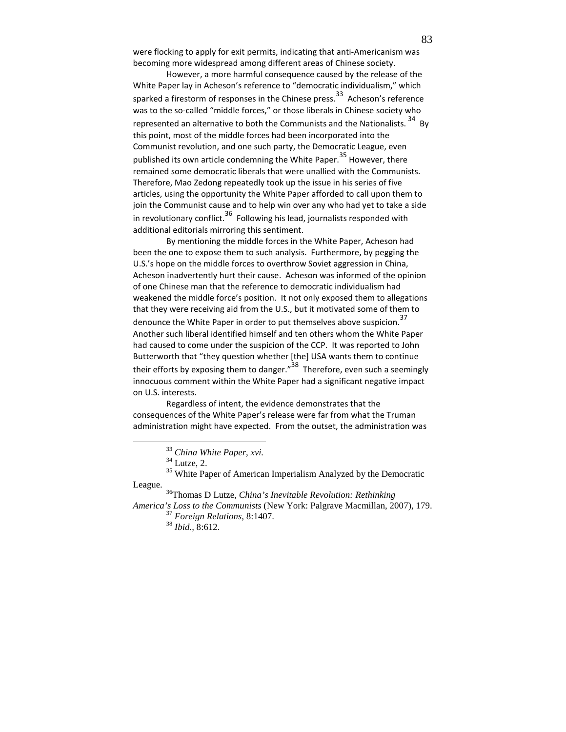were flocking to apply for exit permits, indicating that anti-Americanism was becoming more widespread among different areas of Chinese society.

However, a more harmful consequence caused by the release of the White Paper lay in Acheson's reference to "democratic individualism," which sparked a firestorm of responses in the Chinese press.<sup>33</sup> Acheson's reference was to the so-called "middle forces," or those liberals in Chinese society who represented an alternative to both the Communists and the Nationalists.<sup>34</sup> By this point, most of the middle forces had been incorporated into the Communist revolution, and one such party, the Democratic League, even published its own article condemning the White Paper.<sup>35</sup> However, there remained some democratic liberals that were unallied with the Communists. Therefore, Mao Zedong repeatedly took up the issue in his series of five articles, using the opportunity the White Paper afforded to call upon them to join the Communist cause and to help win over any who had yet to take a side in revolutionary conflict.<sup>36</sup> Following his lead, journalists responded with additional editorials mirroring this sentiment.

By mentioning the middle forces in the White Paper, Acheson had been the one to expose them to such analysis. Furthermore, by pegging the U.S.'s hope on the middle forces to overthrow Soviet aggression in China, Acheson inadvertently hurt their cause. Acheson was informed of the opinion of one Chinese man that the reference to democratic individualism had weakened the middle force's position. It not only exposed them to allegations that they were receiving aid from the U.S., but it motivated some of them to denounce the White Paper in order to put themselves above suspicion.<sup>37</sup> Another such liberal identified himself and ten others whom the White Paper had caused to come under the suspicion of the CCP. It was reported to John Butterworth that "they question whether [the] USA wants them to continue their efforts by exposing them to danger." $38$  Therefore, even such a seemingly innocuous comment within the White Paper had a significant negative impact on U.S. interests.

Regardless of intent, the evidence demonstrates that the consequences of the White Paper's release were far from what the Truman administration might have expected. From the outset, the administration was

<sup>35</sup> White Paper of American Imperialism Analyzed by the Democratic League.

<u>.</u>

<sup>36</sup>Thomas D Lutze, *China's Inevitable Revolution: Rethinking America's Loss to the Communists* (New York: Palgrave Macmillan, 2007), 179. <sup>37</sup> *Foreign Relations,* 8:1407.

<sup>38</sup> *Ibid.,* 8:612.

<sup>33</sup> *China White Paper*, *xvi.*

 $34$  Lutze, 2.